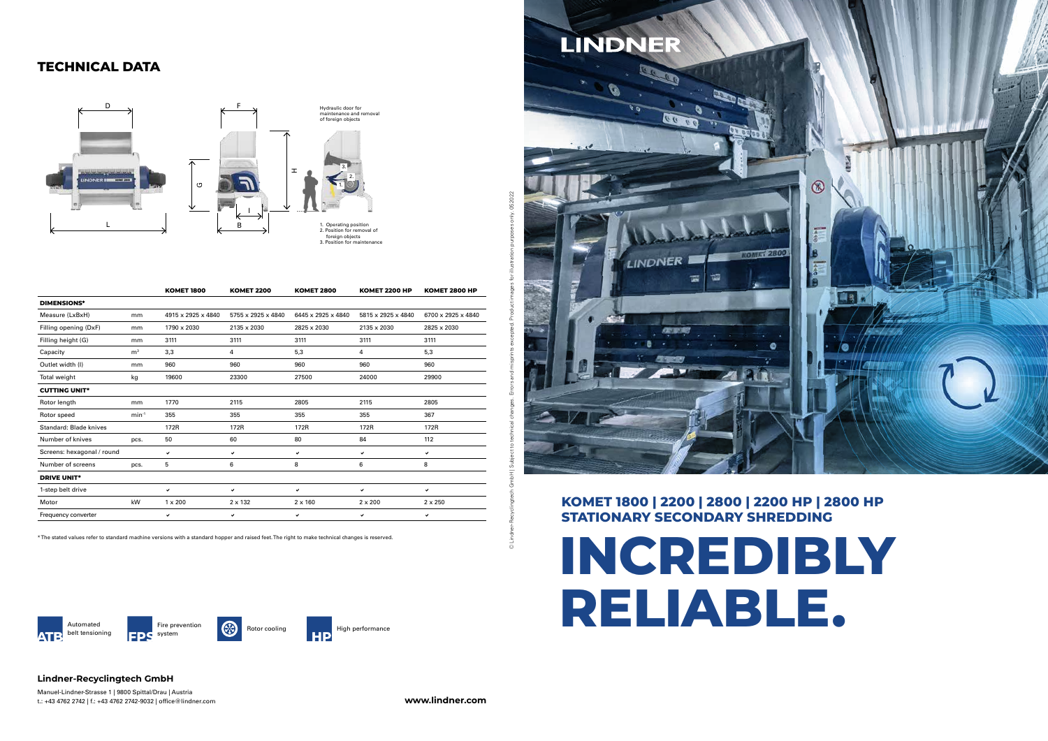# **INCREDIBLY RELIABLE.**





## **STATIONARY SECONDARY SHREDDING**



 $\overline{a}$ 

 $\odot$ 

## **Lindner-Recyclingtech GmbH**

Manuel-Lindner-Strasse 1 | 9800 Spittal/Drau | Austria t.: +43 4762 2742 | f.: +43 4762 2742-9032 | office@lindner.com **www.lindner.com**

## **TECHNICAL DATA**





|                            |                | <b>KOMET 1800</b>  | <b>KOMET 2200</b>  | <b>KOMET 2800</b>  | <b>KOMET 2200 HP</b> | <b>KOMET 2800 HP</b> |
|----------------------------|----------------|--------------------|--------------------|--------------------|----------------------|----------------------|
| <b>DIMENSIONS*</b>         |                |                    |                    |                    |                      |                      |
| Measure (LxBxH)            | mm             | 4915 x 2925 x 4840 | 5755 x 2925 x 4840 | 6445 x 2925 x 4840 | 5815 x 2925 x 4840   | 6700 x 2925 x 4840   |
| Filling opening (DxF)      | mm             | 1790 x 2030        | 2135 x 2030        | 2825 x 2030        | 2135 x 2030          | 2825 x 2030          |
| Filling height (G)         | mm             | 3111               | 3111               | 3111               | 3111                 | 3111                 |
| Capacity                   | m <sup>3</sup> | 3,3                | 4                  | 5,3                | 4                    | 5,3                  |
| Outlet width (I)           | mm             | 960                | 960                | 960                | 960                  | 960                  |
| Total weight               | kg             | 19600              | 23300              | 27500              | 24000                | 29900                |
| <b>CUTTING UNIT*</b>       |                |                    |                    |                    |                      |                      |
| Rotor length               | mm             | 1770               | 2115               | 2805               | 2115                 | 2805                 |
| Rotor speed                | $min-1$        | 355                | 355                | 355                | 355                  | 367                  |
| Standard: Blade knives     |                | 172R               | 172R               | 172R               | 172R                 | 172R                 |
| Number of knives           | pcs.           | 50                 | 60                 | 80                 | 84                   | 112                  |
| Screens: hexagonal / round |                | ✓                  | ✓                  | ✓                  | ✓                    | ✓                    |
| Number of screens          | pcs.           | 5                  | 6                  | 8                  | 6                    | 8                    |
| <b>DRIVE UNIT*</b>         |                |                    |                    |                    |                      |                      |
| 1-step belt drive          |                | $\checkmark$       | $\checkmark$       | ✓                  | $\checkmark$         | ✔                    |
| Motor                      | kW             | $1 \times 200$     | $2 \times 132$     | $2 \times 160$     | $2 \times 200$       | $2 \times 250$       |
| Frequency converter        |                | ✔                  | ✓                  | ✓                  | ✓                    | ✓                    |

\* The stated values refer to standard machine versions with a standard hopper and raised feet. The right to make technical changes is reserved.